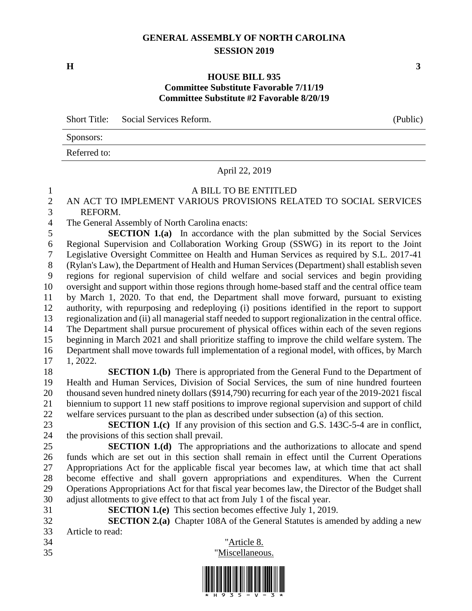### **GENERAL ASSEMBLY OF NORTH CAROLINA SESSION 2019**

#### **HOUSE BILL 935 Committee Substitute Favorable 7/11/19 Committee Substitute #2 Favorable 8/20/19**

Short Title: Social Services Reform. (Public)

| Sponsors: |
|-----------|
|-----------|

Referred to:

#### April 22, 2019

#### A BILL TO BE ENTITLED

### AN ACT TO IMPLEMENT VARIOUS PROVISIONS RELATED TO SOCIAL SERVICES REFORM.

The General Assembly of North Carolina enacts:

 **SECTION 1.(a)** In accordance with the plan submitted by the Social Services Regional Supervision and Collaboration Working Group (SSWG) in its report to the Joint Legislative Oversight Committee on Health and Human Services as required by S.L. 2017-41 (Rylan's Law), the Department of Health and Human Services (Department) shall establish seven regions for regional supervision of child welfare and social services and begin providing oversight and support within those regions through home-based staff and the central office team by March 1, 2020. To that end, the Department shall move forward, pursuant to existing authority, with repurposing and redeploying (i) positions identified in the report to support regionalization and (ii) all managerial staff needed to support regionalization in the central office. The Department shall pursue procurement of physical offices within each of the seven regions beginning in March 2021 and shall prioritize staffing to improve the child welfare system. The Department shall move towards full implementation of a regional model, with offices, by March 1, 2022.

 **SECTION 1.(b)** There is appropriated from the General Fund to the Department of Health and Human Services, Division of Social Services, the sum of nine hundred fourteen thousand seven hundred ninety dollars (\$914,790) recurring for each year of the 2019-2021 fiscal biennium to support 11 new staff positions to improve regional supervision and support of child welfare services pursuant to the plan as described under subsection (a) of this section.

 **SECTION 1.(c)** If any provision of this section and G.S. 143C-5-4 are in conflict, the provisions of this section shall prevail.

 **SECTION 1.(d)** The appropriations and the authorizations to allocate and spend funds which are set out in this section shall remain in effect until the Current Operations Appropriations Act for the applicable fiscal year becomes law, at which time that act shall become effective and shall govern appropriations and expenditures. When the Current Operations Appropriations Act for that fiscal year becomes law, the Director of the Budget shall adjust allotments to give effect to that act from July 1 of the fiscal year.

- **SECTION 1.(e)** This section becomes effective July 1, 2019.
- **SECTION 2.(a)** Chapter 108A of the General Statutes is amended by adding a new Article to read:
- 





**H 3**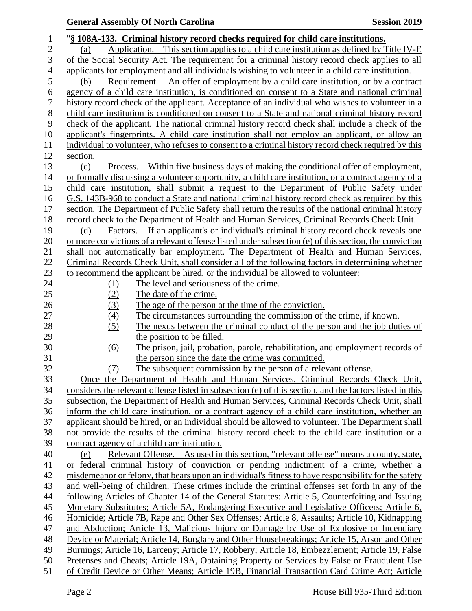| $\mathbf{1}$   | "§ 108A-133. Criminal history record checks required for child care institutions.                                                               |  |  |  |  |  |  |
|----------------|-------------------------------------------------------------------------------------------------------------------------------------------------|--|--|--|--|--|--|
| $\overline{2}$ | Application. – This section applies to a child care institution as defined by Title IV-E<br>(a)                                                 |  |  |  |  |  |  |
| 3              | of the Social Security Act. The requirement for a criminal history record check applies to all                                                  |  |  |  |  |  |  |
| $\overline{4}$ | applicants for employment and all individuals wishing to volunteer in a child care institution.                                                 |  |  |  |  |  |  |
| 5              | Requirement. – An offer of employment by a child care institution, or by a contract<br>(b)                                                      |  |  |  |  |  |  |
| 6              | agency of a child care institution, is conditioned on consent to a State and national criminal                                                  |  |  |  |  |  |  |
| 7              | history record check of the applicant. Acceptance of an individual who wishes to volunteer in a                                                 |  |  |  |  |  |  |
| 8              | child care institution is conditioned on consent to a State and national criminal history record                                                |  |  |  |  |  |  |
| 9              | check of the applicant. The national criminal history record check shall include a check of the                                                 |  |  |  |  |  |  |
| 10             | applicant's fingerprints. A child care institution shall not employ an applicant, or allow an                                                   |  |  |  |  |  |  |
| 11             | individual to volunteer, who refuses to consent to a criminal history record check required by this                                             |  |  |  |  |  |  |
| 12             | section.                                                                                                                                        |  |  |  |  |  |  |
| 13             | <u>Process. – Within five business days of making the conditional offer of employment,</u><br>(c)                                               |  |  |  |  |  |  |
| 14             | or formally discussing a volunteer opportunity, a child care institution, or a contract agency of a                                             |  |  |  |  |  |  |
| 15             | child care institution, shall submit a request to the Department of Public Safety under                                                         |  |  |  |  |  |  |
| 16             | G.S. 143B-968 to conduct a State and national criminal history record check as required by this                                                 |  |  |  |  |  |  |
| 17             | section. The Department of Public Safety shall return the results of the national criminal history                                              |  |  |  |  |  |  |
| 18             | record check to the Department of Health and Human Services, Criminal Records Check Unit.                                                       |  |  |  |  |  |  |
| 19             | Factors. – If an applicant's or individual's criminal history record check reveals one<br>(d)                                                   |  |  |  |  |  |  |
| 20             | or more convictions of a relevant offense listed under subsection (e) of this section, the conviction                                           |  |  |  |  |  |  |
| 21             | shall not automatically bar employment. The Department of Health and Human Services,                                                            |  |  |  |  |  |  |
| 22             | Criminal Records Check Unit, shall consider all of the following factors in determining whether                                                 |  |  |  |  |  |  |
| 23             | to recommend the applicant be hired, or the individual be allowed to volunteer.                                                                 |  |  |  |  |  |  |
| 24             | The level and seriousness of the crime.<br>(1)                                                                                                  |  |  |  |  |  |  |
| 25             | (2)<br>The date of the crime.                                                                                                                   |  |  |  |  |  |  |
| 26             | The age of the person at the time of the conviction.<br>(3)                                                                                     |  |  |  |  |  |  |
| 27             | $\left(4\right)$<br>The circumstances surrounding the commission of the crime, if known.                                                        |  |  |  |  |  |  |
| 28             | (5)<br>The nexus between the criminal conduct of the person and the job duties of                                                               |  |  |  |  |  |  |
| 29             | the position to be filled.                                                                                                                      |  |  |  |  |  |  |
| 30             | The prison, jail, probation, parole, rehabilitation, and employment records of<br>$\underline{(6)}$                                             |  |  |  |  |  |  |
| 31             | the person since the date the crime was committed.                                                                                              |  |  |  |  |  |  |
| 32             | The subsequent commission by the person of a relevant offense.<br>(7)                                                                           |  |  |  |  |  |  |
| 33             | Once the Department of Health and Human Services, Criminal Records Check Unit,                                                                  |  |  |  |  |  |  |
| 34             | considers the relevant offense listed in subsection (e) of this section, and the factors listed in this                                         |  |  |  |  |  |  |
| 35             | subsection, the Department of Health and Human Services, Criminal Records Check Unit, shall                                                     |  |  |  |  |  |  |
| 36             | inform the child care institution, or a contract agency of a child care institution, whether an                                                 |  |  |  |  |  |  |
| 37<br>38       | applicant should be hired, or an individual should be allowed to volunteer. The Department shall                                                |  |  |  |  |  |  |
| 39             | not provide the results of the criminal history record check to the child care institution or a<br>contract agency of a child care institution. |  |  |  |  |  |  |
| 40             | Relevant Offense. - As used in this section, "relevant offense" means a county, state,<br>(e)                                                   |  |  |  |  |  |  |
| 41             | or federal criminal history of conviction or pending indictment of a crime, whether a                                                           |  |  |  |  |  |  |
| 42             | misdemeanor or felony, that bears upon an individual's fitness to have responsibility for the safety                                            |  |  |  |  |  |  |
| 43             | and well-being of children. These crimes include the criminal offenses set forth in any of the                                                  |  |  |  |  |  |  |
| 44             | following Articles of Chapter 14 of the General Statutes: Article 5, Counterfeiting and Issuing                                                 |  |  |  |  |  |  |
| 45             | Monetary Substitutes; Article 5A, Endangering Executive and Legislative Officers; Article 6,                                                    |  |  |  |  |  |  |
| 46             | Homicide; Article 7B, Rape and Other Sex Offenses; Article 8, Assaults; Article 10, Kidnapping                                                  |  |  |  |  |  |  |
| 47             | and Abduction; Article 13, Malicious Injury or Damage by Use of Explosive or Incendiary                                                         |  |  |  |  |  |  |
| 48             | Device or Material; Article 14, Burglary and Other Housebreakings; Article 15, Arson and Other                                                  |  |  |  |  |  |  |
| 49             | Burnings; Article 16, Larceny; Article 17, Robbery; Article 18, Embezzlement; Article 19, False                                                 |  |  |  |  |  |  |
| 50             | Pretenses and Cheats; Article 19A, Obtaining Property or Services by False or Fraudulent Use                                                    |  |  |  |  |  |  |
| 51             | of Credit Device or Other Means; Article 19B, Financial Transaction Card Crime Act; Article                                                     |  |  |  |  |  |  |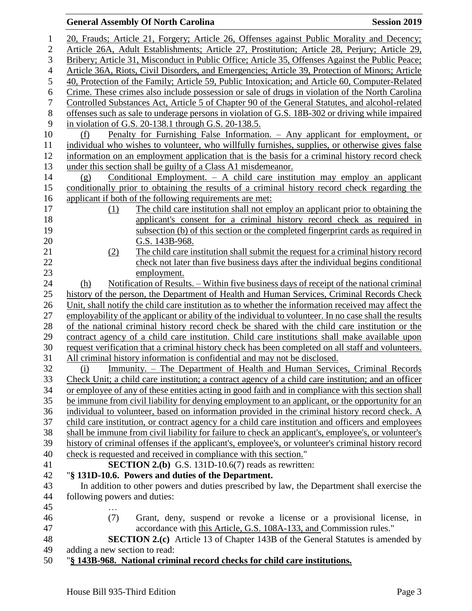| $\mathbf{1}$   | 20, Frauds; Article 21, Forgery; Article 26, Offenses against Public Morality and Decency;                       |  |  |  |  |  |  |
|----------------|------------------------------------------------------------------------------------------------------------------|--|--|--|--|--|--|
| $\overline{2}$ | Article 26A, Adult Establishments; Article 27, Prostitution; Article 28, Perjury; Article 29,                    |  |  |  |  |  |  |
| 3              | Bribery; Article 31, Misconduct in Public Office; Article 35, Offenses Against the Public Peace;                 |  |  |  |  |  |  |
| $\overline{4}$ | Article 36A, Riots, Civil Disorders, and Emergencies; Article 39, Protection of Minors; Article                  |  |  |  |  |  |  |
| 5              | 40, Protection of the Family; Article 59, Public Intoxication; and Article 60, Computer-Related                  |  |  |  |  |  |  |
| 6              | Crime. These crimes also include possession or sale of drugs in violation of the North Carolina                  |  |  |  |  |  |  |
| $\tau$         | Controlled Substances Act, Article 5 of Chapter 90 of the General Statutes, and alcohol-related                  |  |  |  |  |  |  |
| $8\,$          | offenses such as sale to underage persons in violation of G.S. 18B-302 or driving while impaired                 |  |  |  |  |  |  |
| 9              | in violation of G.S. 20-138.1 through G.S. 20-138.5.                                                             |  |  |  |  |  |  |
| 10             | Penalty for Furnishing False Information. - Any applicant for employment, or<br>(f)                              |  |  |  |  |  |  |
| 11             | individual who wishes to volunteer, who willfully furnishes, supplies, or otherwise gives false                  |  |  |  |  |  |  |
| 12             | information on an employment application that is the basis for a criminal history record check                   |  |  |  |  |  |  |
| 13             | under this section shall be guilty of a Class A1 misdemeanor.                                                    |  |  |  |  |  |  |
| 14             | Conditional Employment. $-$ A child care institution may employ an applicant<br>(g)                              |  |  |  |  |  |  |
| 15             | conditionally prior to obtaining the results of a criminal history record check regarding the                    |  |  |  |  |  |  |
| 16             | applicant if both of the following requirements are met:                                                         |  |  |  |  |  |  |
| 17             | The child care institution shall not employ an applicant prior to obtaining the<br>(1)                           |  |  |  |  |  |  |
| 18             | applicant's consent for a criminal history record check as required in                                           |  |  |  |  |  |  |
| 19             | subsection (b) of this section or the completed fingerprint cards as required in                                 |  |  |  |  |  |  |
| 20             | G.S. 143B-968.                                                                                                   |  |  |  |  |  |  |
| 21             | The child care institution shall submit the request for a criminal history record<br>(2)                         |  |  |  |  |  |  |
| 22             | check not later than five business days after the individual begins conditional                                  |  |  |  |  |  |  |
| 23             | employment.                                                                                                      |  |  |  |  |  |  |
| 24             | Notification of Results. – Within five business days of receipt of the national criminal<br>(h)                  |  |  |  |  |  |  |
| 25             | history of the person, the Department of Health and Human Services, Criminal Records Check                       |  |  |  |  |  |  |
| 26             | Unit, shall notify the child care institution as to whether the information received may affect the              |  |  |  |  |  |  |
| 27             | employability of the applicant or ability of the individual to volunteer. In no case shall the results           |  |  |  |  |  |  |
| 28             | of the national criminal history record check be shared with the child care institution or the                   |  |  |  |  |  |  |
| 29             | contract agency of a child care institution. Child care institutions shall make available upon                   |  |  |  |  |  |  |
| 30             | request verification that a criminal history check has been completed on all staff and volunteers.               |  |  |  |  |  |  |
| 31             | All criminal history information is confidential and may not be disclosed.                                       |  |  |  |  |  |  |
| 32             | Immunity. - The Department of Health and Human Services, Criminal Records<br>(i)                                 |  |  |  |  |  |  |
| 33             | Check Unit; a child care institution; a contract agency of a child care institution; and an officer              |  |  |  |  |  |  |
| 34             | or employee of any of these entities acting in good faith and in compliance with this section shall              |  |  |  |  |  |  |
| 35             | be immune from civil liability for denying employment to an applicant, or the opportunity for an                 |  |  |  |  |  |  |
| 36             | individual to volunteer, based on information provided in the criminal history record check. A                   |  |  |  |  |  |  |
| 37<br>38       | child care institution, or contract agency for a child care institution and officers and employees               |  |  |  |  |  |  |
| 39             | shall be immune from civil liability for failure to check an applicant's, employee's, or volunteer's             |  |  |  |  |  |  |
|                | history of criminal offenses if the applicant's, employee's, or volunteer's criminal history record              |  |  |  |  |  |  |
| 40<br>41       | check is requested and received in compliance with this section."                                                |  |  |  |  |  |  |
| 42             | <b>SECTION 2.(b)</b> G.S. 131D-10.6(7) reads as rewritten:<br>"§ 131D-10.6. Powers and duties of the Department. |  |  |  |  |  |  |
| 43             | In addition to other powers and duties prescribed by law, the Department shall exercise the                      |  |  |  |  |  |  |
| 44             | following powers and duties:                                                                                     |  |  |  |  |  |  |
| 45             |                                                                                                                  |  |  |  |  |  |  |
| 46             | (7)<br>Grant, deny, suspend or revoke a license or a provisional license, in                                     |  |  |  |  |  |  |
| 47             | accordance with this Article, G.S. 108A-133, and Commission rules."                                              |  |  |  |  |  |  |
| 48             | <b>SECTION 2.(c)</b> Article 13 of Chapter 143B of the General Statutes is amended by                            |  |  |  |  |  |  |
| 49             | adding a new section to read:                                                                                    |  |  |  |  |  |  |
|                |                                                                                                                  |  |  |  |  |  |  |

50 "**§ 143B-968. National criminal record checks for child care institutions.**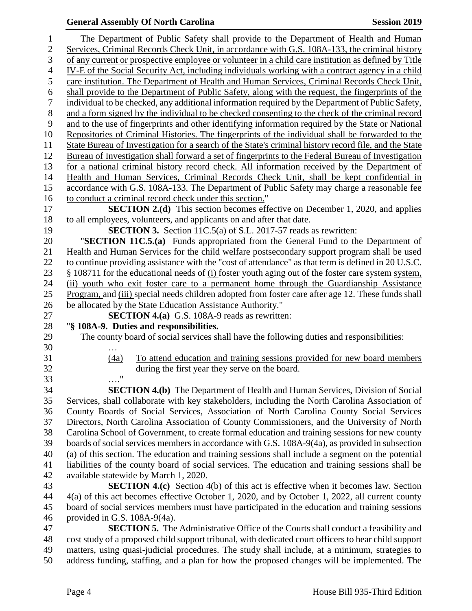|                 | The Department of Public Safety shall provide to the Department of Health and Human                                                                                                              |  |  |  |  |  |  |  |
|-----------------|--------------------------------------------------------------------------------------------------------------------------------------------------------------------------------------------------|--|--|--|--|--|--|--|
| 1<br>$\sqrt{2}$ | Services, Criminal Records Check Unit, in accordance with G.S. 108A-133, the criminal history                                                                                                    |  |  |  |  |  |  |  |
| 3               | of any current or prospective employee or volunteer in a child care institution as defined by Title                                                                                              |  |  |  |  |  |  |  |
| $\overline{4}$  | IV-E of the Social Security Act, including individuals working with a contract agency in a child                                                                                                 |  |  |  |  |  |  |  |
| 5               |                                                                                                                                                                                                  |  |  |  |  |  |  |  |
| 6               | care institution. The Department of Health and Human Services, Criminal Records Check Unit,<br>shall provide to the Department of Public Safety, along with the request, the fingerprints of the |  |  |  |  |  |  |  |
| 7               | individual to be checked, any additional information required by the Department of Public Safety,                                                                                                |  |  |  |  |  |  |  |
| $8\,$           | and a form signed by the individual to be checked consenting to the check of the criminal record                                                                                                 |  |  |  |  |  |  |  |
| 9               | and to the use of fingerprints and other identifying information required by the State or National                                                                                               |  |  |  |  |  |  |  |
| 10              | Repositories of Criminal Histories. The fingerprints of the individual shall be forwarded to the                                                                                                 |  |  |  |  |  |  |  |
| 11              | State Bureau of Investigation for a search of the State's criminal history record file, and the State                                                                                            |  |  |  |  |  |  |  |
| 12              | Bureau of Investigation shall forward a set of fingerprints to the Federal Bureau of Investigation                                                                                               |  |  |  |  |  |  |  |
| 13              | for a national criminal history record check. All information received by the Department of                                                                                                      |  |  |  |  |  |  |  |
| 14              | Health and Human Services, Criminal Records Check Unit, shall be kept confidential in                                                                                                            |  |  |  |  |  |  |  |
| 15              | accordance with G.S. 108A-133. The Department of Public Safety may charge a reasonable fee                                                                                                       |  |  |  |  |  |  |  |
| 16              | to conduct a criminal record check under this section."                                                                                                                                          |  |  |  |  |  |  |  |
| 17              | <b>SECTION 2.(d)</b> This section becomes effective on December 1, 2020, and applies                                                                                                             |  |  |  |  |  |  |  |
| 18              | to all employees, volunteers, and applicants on and after that date.                                                                                                                             |  |  |  |  |  |  |  |
| 19              | <b>SECTION 3.</b> Section 11C.5(a) of S.L. 2017-57 reads as rewritten:                                                                                                                           |  |  |  |  |  |  |  |
| 20              | "SECTION 11C.5.(a) Funds appropriated from the General Fund to the Department of                                                                                                                 |  |  |  |  |  |  |  |
| 21              | Health and Human Services for the child welfare postsecondary support program shall be used                                                                                                      |  |  |  |  |  |  |  |
| 22              | to continue providing assistance with the "cost of attendance" as that term is defined in 20 U.S.C.                                                                                              |  |  |  |  |  |  |  |
| 23              | § 108711 for the educational needs of (i) foster youth aging out of the foster care system system,                                                                                               |  |  |  |  |  |  |  |
| 24              | (ii) youth who exit foster care to a permanent home through the Guardianship Assistance                                                                                                          |  |  |  |  |  |  |  |
| 25              | Program, and (iii) special needs children adopted from foster care after age 12. These funds shall                                                                                               |  |  |  |  |  |  |  |
| 26              | be allocated by the State Education Assistance Authority."                                                                                                                                       |  |  |  |  |  |  |  |
| 27              | <b>SECTION 4.(a)</b> G.S. 108A-9 reads as rewritten:                                                                                                                                             |  |  |  |  |  |  |  |
| 28              | "§ 108A-9. Duties and responsibilities.                                                                                                                                                          |  |  |  |  |  |  |  |
| 29              | The county board of social services shall have the following duties and responsibilities:                                                                                                        |  |  |  |  |  |  |  |
| 30              |                                                                                                                                                                                                  |  |  |  |  |  |  |  |
| 31              |                                                                                                                                                                                                  |  |  |  |  |  |  |  |
|                 | To attend education and training sessions provided for new board members<br>(4a)                                                                                                                 |  |  |  |  |  |  |  |
| 32              | during the first year they serve on the board.                                                                                                                                                   |  |  |  |  |  |  |  |
| 33              |                                                                                                                                                                                                  |  |  |  |  |  |  |  |
| 34              | <b>SECTION 4.(b)</b> The Department of Health and Human Services, Division of Social                                                                                                             |  |  |  |  |  |  |  |
| 35              | Services, shall collaborate with key stakeholders, including the North Carolina Association of                                                                                                   |  |  |  |  |  |  |  |
| 36              | County Boards of Social Services, Association of North Carolina County Social Services                                                                                                           |  |  |  |  |  |  |  |
| 37              | Directors, North Carolina Association of County Commissioners, and the University of North                                                                                                       |  |  |  |  |  |  |  |
| 38              | Carolina School of Government, to create formal education and training sessions for new county                                                                                                   |  |  |  |  |  |  |  |
| 39              | boards of social services members in accordance with G.S. 108A-9(4a), as provided in subsection                                                                                                  |  |  |  |  |  |  |  |
| 40              | (a) of this section. The education and training sessions shall include a segment on the potential                                                                                                |  |  |  |  |  |  |  |
| 41              | liabilities of the county board of social services. The education and training sessions shall be                                                                                                 |  |  |  |  |  |  |  |
| 42              | available statewide by March 1, 2020.                                                                                                                                                            |  |  |  |  |  |  |  |
| 43              | <b>SECTION 4.(c)</b> Section 4(b) of this act is effective when it becomes law. Section                                                                                                          |  |  |  |  |  |  |  |
| 44              | 4(a) of this act becomes effective October 1, 2020, and by October 1, 2022, all current county                                                                                                   |  |  |  |  |  |  |  |
| 45              | board of social services members must have participated in the education and training sessions                                                                                                   |  |  |  |  |  |  |  |
| 46              | provided in G.S. 108A-9(4a).                                                                                                                                                                     |  |  |  |  |  |  |  |
| 47              | <b>SECTION 5.</b> The Administrative Office of the Courts shall conduct a feasibility and                                                                                                        |  |  |  |  |  |  |  |
| 48              | cost study of a proposed child support tribunal, with dedicated court officers to hear child support                                                                                             |  |  |  |  |  |  |  |
| 49<br>50        | matters, using quasi-judicial procedures. The study shall include, at a minimum, strategies to<br>address funding, staffing, and a plan for how the proposed changes will be implemented. The    |  |  |  |  |  |  |  |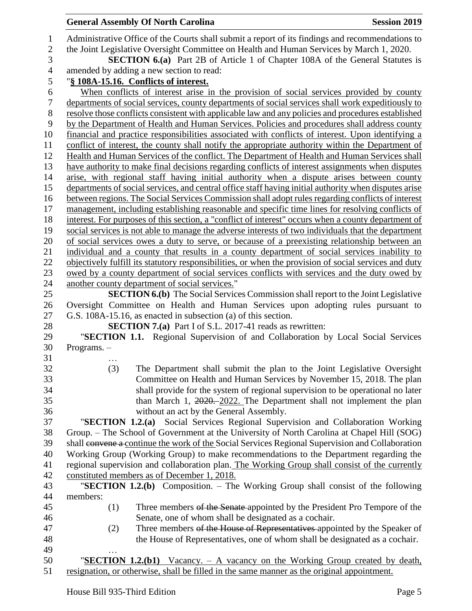|               | <b>General Assembly Of North Carolina</b>                                                                                                                                                    | <b>Session 2019</b> |
|---------------|----------------------------------------------------------------------------------------------------------------------------------------------------------------------------------------------|---------------------|
|               | Administrative Office of the Courts shall submit a report of its findings and recommendations to<br>the Joint Legislative Oversight Committee on Health and Human Services by March 1, 2020. |                     |
|               | <b>SECTION 6.(a)</b> Part 2B of Article 1 of Chapter 108A of the General Statutes is                                                                                                         |                     |
|               | amended by adding a new section to read:                                                                                                                                                     |                     |
|               | "§ 108A-15.16. Conflicts of interest.<br>When conflicts of interest arise in the provision of social services provided by county                                                             |                     |
|               | departments of social services, county departments of social services shall work expeditiously to                                                                                            |                     |
|               | resolve those conflicts consistent with applicable law and any policies and procedures established                                                                                           |                     |
|               | by the Department of Health and Human Services. Policies and procedures shall address county                                                                                                 |                     |
|               | financial and practice responsibilities associated with conflicts of interest. Upon identifying a                                                                                            |                     |
|               | conflict of interest, the county shall notify the appropriate authority within the Department of                                                                                             |                     |
|               | Health and Human Services of the conflict. The Department of Health and Human Services shall                                                                                                 |                     |
|               | have authority to make final decisions regarding conflicts of interest assignments when disputes                                                                                             |                     |
|               | arise, with regional staff having initial authority when a dispute arises between county                                                                                                     |                     |
|               | departments of social services, and central office staff having initial authority when disputes arise                                                                                        |                     |
|               | between regions. The Social Services Commission shall adopt rules regarding conflicts of interest                                                                                            |                     |
|               | management, including establishing reasonable and specific time lines for resolving conflicts of                                                                                             |                     |
|               | interest. For purposes of this section, a "conflict of interest" occurs when a county department of                                                                                          |                     |
|               | social services is not able to manage the adverse interests of two individuals that the department                                                                                           |                     |
|               | of social services owes a duty to serve, or because of a preexisting relationship between an                                                                                                 |                     |
|               | individual and a county that results in a county department of social services inability to                                                                                                  |                     |
|               | objectively fulfill its statutory responsibilities, or when the provision of social services and duty                                                                                        |                     |
|               | owed by a county department of social services conflicts with services and the duty owed by                                                                                                  |                     |
|               | another county department of social services."                                                                                                                                               |                     |
|               | <b>SECTION 6.(b)</b> The Social Services Commission shall report to the Joint Legislative                                                                                                    |                     |
|               | Oversight Committee on Health and Human Services upon adopting rules pursuant to                                                                                                             |                     |
|               | G.S. 108A-15.16, as enacted in subsection (a) of this section.                                                                                                                               |                     |
|               | <b>SECTION 7.(a)</b> Part I of S.L. 2017-41 reads as rewritten:                                                                                                                              |                     |
|               | "SECTION 1.1. Regional Supervision of and Collaboration by Local Social Services                                                                                                             |                     |
| Programs. $-$ |                                                                                                                                                                                              |                     |
| (3)           | The Department shall submit the plan to the Joint Legislative Oversight                                                                                                                      |                     |
|               | Committee on Health and Human Services by November 15, 2018. The plan                                                                                                                        |                     |
|               | shall provide for the system of regional supervision to be operational no later                                                                                                              |                     |
|               | than March 1, $2020 - 2022$ . The Department shall not implement the plan                                                                                                                    |                     |
|               | without an act by the General Assembly.                                                                                                                                                      |                     |
|               | "SECTION 1.2.(a) Social Services Regional Supervision and Collaboration Working                                                                                                              |                     |
|               | Group. – The School of Government at the University of North Carolina at Chapel Hill (SOG)                                                                                                   |                     |
|               | shall convene a continue the work of the Social Services Regional Supervision and Collaboration                                                                                              |                     |
|               | Working Group (Working Group) to make recommendations to the Department regarding the                                                                                                        |                     |
|               | regional supervision and collaboration plan. The Working Group shall consist of the currently                                                                                                |                     |
|               | constituted members as of December 1, 2018.                                                                                                                                                  |                     |
|               | "SECTION 1.2.(b) Composition. - The Working Group shall consist of the following                                                                                                             |                     |
| members:      |                                                                                                                                                                                              |                     |
| (1)           | Three members of the Senate appointed by the President Pro Tempore of the                                                                                                                    |                     |
|               | Senate, one of whom shall be designated as a cochair.                                                                                                                                        |                     |
| (2)           | Three members of the House of Representatives appointed by the Speaker of                                                                                                                    |                     |
|               | the House of Representatives, one of whom shall be designated as a cochair.                                                                                                                  |                     |
|               |                                                                                                                                                                                              |                     |
|               | " <b>SECTION 1.2.(b1)</b> Vacancy. – A vacancy on the Working Group created by death,                                                                                                        |                     |
|               | resignation, or otherwise, shall be filled in the same manner as the original appointment.                                                                                                   |                     |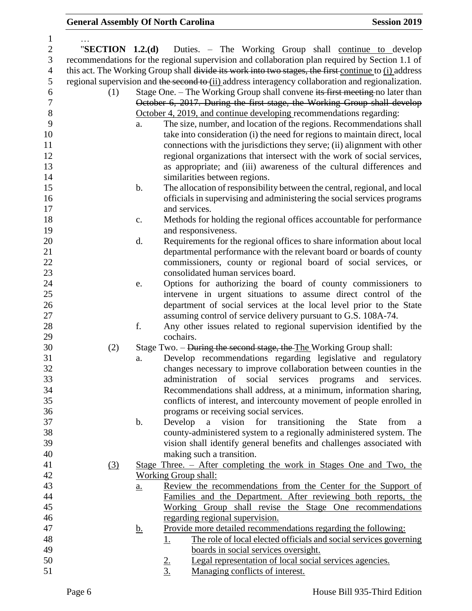| $\mathbf{1}$     |                                                                                                      |           |                                                                                 |  |  |  |  |
|------------------|------------------------------------------------------------------------------------------------------|-----------|---------------------------------------------------------------------------------|--|--|--|--|
| $\overline{c}$   | "SECTION $1.2.(d)$                                                                                   |           | Duties. – The Working Group shall continue to develop                           |  |  |  |  |
| 3                | recommendations for the regional supervision and collaboration plan required by Section 1.1 of       |           |                                                                                 |  |  |  |  |
| $\overline{4}$   | this act. The Working Group shall divide its work into two stages, the first continue to (i) address |           |                                                                                 |  |  |  |  |
| 5                | regional supervision and the second to (ii) address interagency collaboration and regionalization.   |           |                                                                                 |  |  |  |  |
| 6                | Stage One. – The Working Group shall convene its first meeting no later than<br>(1)                  |           |                                                                                 |  |  |  |  |
| $\boldsymbol{7}$ | October 6, 2017. During the first stage, the Working Group shall develop                             |           |                                                                                 |  |  |  |  |
| 8                | October 4, 2019, and continue developing recommendations regarding:                                  |           |                                                                                 |  |  |  |  |
| 9                |                                                                                                      | a.        | The size, number, and location of the regions. Recommendations shall            |  |  |  |  |
| 10               |                                                                                                      |           | take into consideration (i) the need for regions to maintain direct, local      |  |  |  |  |
| 11               |                                                                                                      |           | connections with the jurisdictions they serve; (ii) alignment with other        |  |  |  |  |
| 12               |                                                                                                      |           | regional organizations that intersect with the work of social services,         |  |  |  |  |
| 13               |                                                                                                      |           | as appropriate; and (iii) awareness of the cultural differences and             |  |  |  |  |
| 14               |                                                                                                      |           | similarities between regions.                                                   |  |  |  |  |
| 15               |                                                                                                      |           |                                                                                 |  |  |  |  |
|                  |                                                                                                      | b.        | The allocation of responsibility between the central, regional, and local       |  |  |  |  |
| 16               |                                                                                                      |           | officials in supervising and administering the social services programs         |  |  |  |  |
| 17               |                                                                                                      |           | and services.                                                                   |  |  |  |  |
| 18               |                                                                                                      | c.        | Methods for holding the regional offices accountable for performance            |  |  |  |  |
| 19               |                                                                                                      |           | and responsiveness.                                                             |  |  |  |  |
| 20               |                                                                                                      | d.        | Requirements for the regional offices to share information about local          |  |  |  |  |
| 21               |                                                                                                      |           | departmental performance with the relevant board or boards of county            |  |  |  |  |
| 22               |                                                                                                      |           | commissioners, county or regional board of social services, or                  |  |  |  |  |
| 23               |                                                                                                      |           | consolidated human services board.                                              |  |  |  |  |
| 24               |                                                                                                      | e.        | Options for authorizing the board of county commissioners to                    |  |  |  |  |
| 25               |                                                                                                      |           | intervene in urgent situations to assume direct control of the                  |  |  |  |  |
| 26               |                                                                                                      |           | department of social services at the local level prior to the State             |  |  |  |  |
| 27               |                                                                                                      |           | assuming control of service delivery pursuant to G.S. 108A-74.                  |  |  |  |  |
| 28               |                                                                                                      | f.        | Any other issues related to regional supervision identified by the              |  |  |  |  |
| 29               |                                                                                                      |           | cochairs.                                                                       |  |  |  |  |
| 30               | (2)                                                                                                  |           | Stage Two. - During the second stage, the The Working Group shall:              |  |  |  |  |
| 31               |                                                                                                      | a.        | Develop recommendations regarding legislative and regulatory                    |  |  |  |  |
| 32               |                                                                                                      |           | changes necessary to improve collaboration between counties in the              |  |  |  |  |
| 33               |                                                                                                      |           | administration of social services programs and services.                        |  |  |  |  |
| 34               |                                                                                                      |           | Recommendations shall address, at a minimum, information sharing,               |  |  |  |  |
| 35               |                                                                                                      |           | conflicts of interest, and intercounty movement of people enrolled in           |  |  |  |  |
| 36               |                                                                                                      |           | programs or receiving social services.                                          |  |  |  |  |
| 37               |                                                                                                      | b.        | transitioning<br>Develop<br>a<br>vision for<br>the<br><b>State</b><br>from<br>a |  |  |  |  |
| 38               |                                                                                                      |           | county-administered system to a regionally administered system. The             |  |  |  |  |
| 39               |                                                                                                      |           | vision shall identify general benefits and challenges associated with           |  |  |  |  |
| 40               |                                                                                                      |           | making such a transition.                                                       |  |  |  |  |
| 41               | (3)                                                                                                  |           | Stage Three. – After completing the work in Stages One and Two, the             |  |  |  |  |
| 42               |                                                                                                      |           | Working Group shall:                                                            |  |  |  |  |
| 43               |                                                                                                      | a.        | Review the recommendations from the Center for the Support of                   |  |  |  |  |
| 44               |                                                                                                      |           | Families and the Department. After reviewing both reports, the                  |  |  |  |  |
| 45               |                                                                                                      |           | Working Group shall revise the Stage One recommendations                        |  |  |  |  |
| 46               |                                                                                                      |           | regarding regional supervision.                                                 |  |  |  |  |
| 47               |                                                                                                      | <u>b.</u> | Provide more detailed recommendations regarding the following:                  |  |  |  |  |
| 48               |                                                                                                      |           | The role of local elected officials and social services governing<br><u>1.</u>  |  |  |  |  |
| 49               |                                                                                                      |           | boards in social services oversight.                                            |  |  |  |  |
| 50               |                                                                                                      |           | Legal representation of local social services agencies.                         |  |  |  |  |
| 51               |                                                                                                      |           | $\frac{2}{3}$<br>Managing conflicts of interest.                                |  |  |  |  |
|                  |                                                                                                      |           |                                                                                 |  |  |  |  |